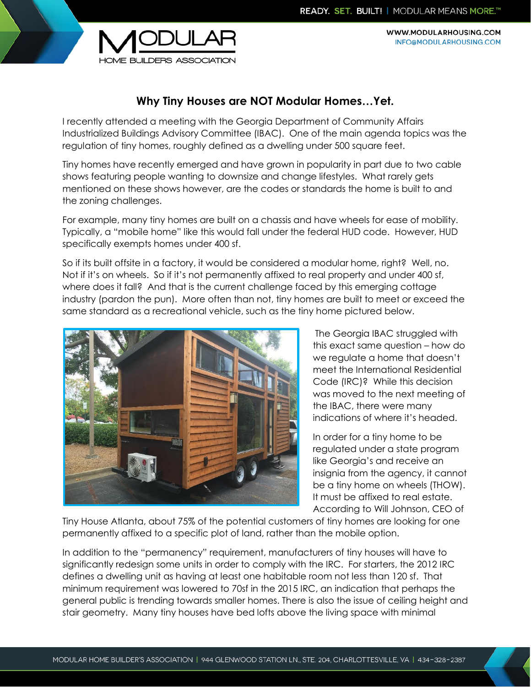WWW.MODULARHOUSING.COM INFO@MODULARHOUSING.COM



## **Why Tiny Houses are NOT Modular Homes…Yet.**

I recently attended a meeting with the Georgia Department of Community Affairs Industrialized Buildings Advisory Committee (IBAC). One of the main agenda topics was the regulation of tiny homes, roughly defined as a dwelling under 500 square feet.

Tiny homes have recently emerged and have grown in popularity in part due to two cable shows featuring people wanting to downsize and change lifestyles. What rarely gets mentioned on these shows however, are the codes or standards the home is built to and the zoning challenges.

For example, many tiny homes are built on a chassis and have wheels for ease of mobility. Typically, a "mobile home" like this would fall under the federal HUD code. However, HUD specifically exempts homes under 400 sf.

So if its built offsite in a factory, it would be considered a modular home, right? Well, no. Not if it's on wheels. So if it's not permanently affixed to real property and under 400 sf, where does it fall? And that is the current challenge faced by this emerging cottage industry (pardon the pun). More often than not, tiny homes are built to meet or exceed the same standard as a recreational vehicle, such as the tiny home pictured below.



The Georgia IBAC struggled with this exact same question – how do we regulate a home that doesn't meet the International Residential Code (IRC)? While this decision was moved to the next meeting of the IBAC, there were many indications of where it's headed.

In order for a tiny home to be regulated under a state program like Georgia's and receive an insignia from the agency, it cannot be a tiny home on wheels (THOW). It must be affixed to real estate. According to Will Johnson, CEO of

Tiny House Atlanta, about 75% of the potential customers of tiny homes are looking for one permanently affixed to a specific plot of land, rather than the mobile option.

In addition to the "permanency" requirement, manufacturers of tiny houses will have to significantly redesign some units in order to comply with the IRC. For starters, the 2012 IRC defines a dwelling unit as having at least one habitable room not less than 120 sf. That minimum requirement was lowered to 70sf in the 2015 IRC, an indication that perhaps the general public is trending towards smaller homes. There is also the issue of ceiling height and stair geometry. Many tiny houses have bed lofts above the living space with minimal